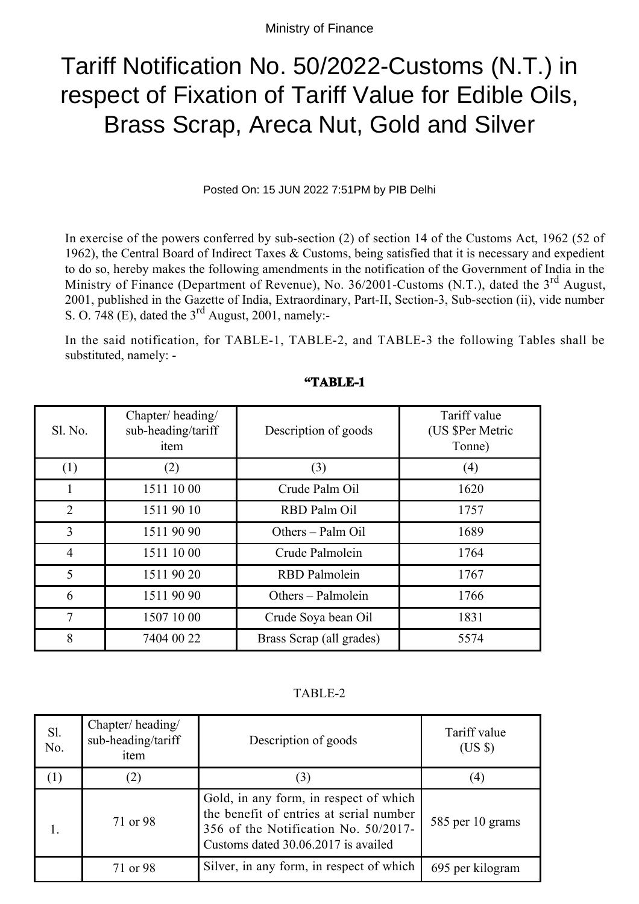## Tariff Notification No. 50/2022-Customs (N.T.) in respect of Fixation of Tariff Value for Edible Oils, Brass Scrap, Areca Nut, Gold and Silver

Posted On: 15 JUN 2022 7:51PM by PIB Delhi

In exercise of the powers conferred by sub-section (2) of section 14 of the Customs Act, 1962 (52 of 1962), the Central Board of Indirect Taxes & Customs, being satisfied that it is necessary and expedient to do so, hereby makes the following amendments in the notification of the Government of India in the Ministry of Finance (Department of Revenue), No. 36/2001-Customs (N.T.), dated the 3<sup>rd</sup> August, 2001, published in the Gazette of India, Extraordinary, Part-II, Section-3, Sub-section (ii), vide number S. O. 748 (E), dated the  $3<sup>rd</sup>$  August, 2001, namely:-

In the said notification, for TABLE-1, TABLE-2, and TABLE-3 the following Tables shall be substituted, namely: -

| Sl. No.        | Chapter/heading/<br>sub-heading/tariff<br>item | Description of goods     | Tariff value<br>(US \$Per Metric<br>Tonne) |
|----------------|------------------------------------------------|--------------------------|--------------------------------------------|
| (1)            | (2)                                            | (3)                      | (4)                                        |
| I.             | 1511 10 00                                     | Crude Palm Oil           | 1620                                       |
| $\overline{2}$ | 1511 90 10                                     | RBD Palm Oil             | 1757                                       |
| 3              | 1511 90 90                                     | Others - Palm Oil        | 1689                                       |
| $\overline{4}$ | 1511 10 00                                     | Crude Palmolein          | 1764                                       |
| 5              | 1511 90 20                                     | <b>RBD</b> Palmolein     | 1767                                       |
| 6              | 1511 90 90                                     | Others - Palmolein       | 1766                                       |
| $\tau$         | 1507 10 00                                     | Crude Soya bean Oil      | 1831                                       |
| 8              | 7404 00 22                                     | Brass Scrap (all grades) | 5574                                       |

## **"TABLE-1**

TABLE-2

| Sl.<br>No. | Chapter/heading/<br>sub-heading/tariff<br>item | Description of goods                                                                                                                                             | Tariff value<br>$(US \$ |
|------------|------------------------------------------------|------------------------------------------------------------------------------------------------------------------------------------------------------------------|-------------------------|
|            | (2)                                            | 3)                                                                                                                                                               | $\left(4\right)$        |
|            | 71 or 98                                       | Gold, in any form, in respect of which<br>the benefit of entries at serial number<br>356 of the Notification No. 50/2017-<br>Customs dated 30.06.2017 is availed | 585 per 10 grams        |
|            | 71 or 98                                       | Silver, in any form, in respect of which                                                                                                                         | 695 per kilogram        |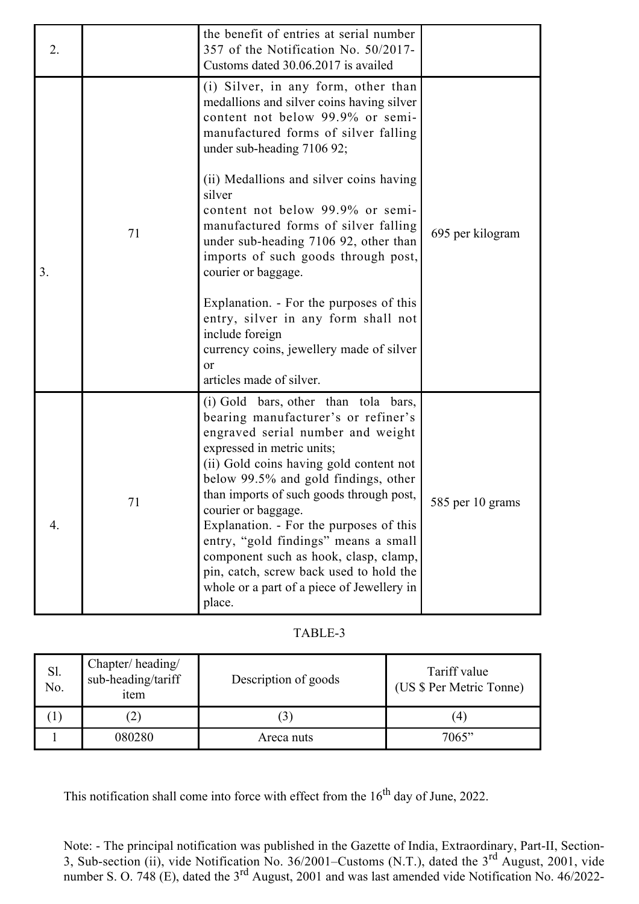| 2. |    | the benefit of entries at serial number<br>357 of the Notification No. 50/2017-<br>Customs dated 30.06.2017 is availed                                                                                                                                                                                                                                                                                                                                                                                                                                                                                                           |                  |
|----|----|----------------------------------------------------------------------------------------------------------------------------------------------------------------------------------------------------------------------------------------------------------------------------------------------------------------------------------------------------------------------------------------------------------------------------------------------------------------------------------------------------------------------------------------------------------------------------------------------------------------------------------|------------------|
| 3. | 71 | (i) Silver, in any form, other than<br>medallions and silver coins having silver<br>content not below 99.9% or semi-<br>manufactured forms of silver falling<br>under sub-heading 7106 92;<br>(ii) Medallions and silver coins having<br>silver<br>content not below 99.9% or semi-<br>manufactured forms of silver falling<br>under sub-heading 7106 92, other than<br>imports of such goods through post,<br>courier or baggage.<br>Explanation. - For the purposes of this<br>entry, silver in any form shall not<br>include foreign<br>currency coins, jewellery made of silver<br><sub>or</sub><br>articles made of silver. | 695 per kilogram |
| 4. | 71 | (i) Gold bars, other than tola bars,<br>bearing manufacturer's or refiner's<br>engraved serial number and weight<br>expressed in metric units;<br>(ii) Gold coins having gold content not<br>below 99.5% and gold findings, other<br>than imports of such goods through post,<br>courier or baggage.<br>Explanation. - For the purposes of this<br>entry, "gold findings" means a small<br>component such as hook, clasp, clamp,<br>pin, catch, screw back used to hold the<br>whole or a part of a piece of Jewellery in<br>place.                                                                                              | 585 per 10 grams |

## TABLE-3

| Sl.<br>No. | Chapter/heading/<br>sub-heading/tariff<br>item | Description of goods | Tariff value<br>(US \$ Per Metric Tonne) |
|------------|------------------------------------------------|----------------------|------------------------------------------|
|            |                                                |                      | 14                                       |
|            | 080280                                         | Areca nuts           | 7065"                                    |

This notification shall come into force with effect from the  $16<sup>th</sup>$  day of June, 2022.

Note: - The principal notification was published in the Gazette of India, Extraordinary, Part-II, Section-3, Sub-section (ii), vide Notification No. 36/2001–Customs (N.T.), dated the  $3<sup>rd</sup>$  August, 2001, vide number S. O. 748 (E), dated the 3<sup>rd</sup> August, 2001 and was last amended vide Notification No. 46/2022